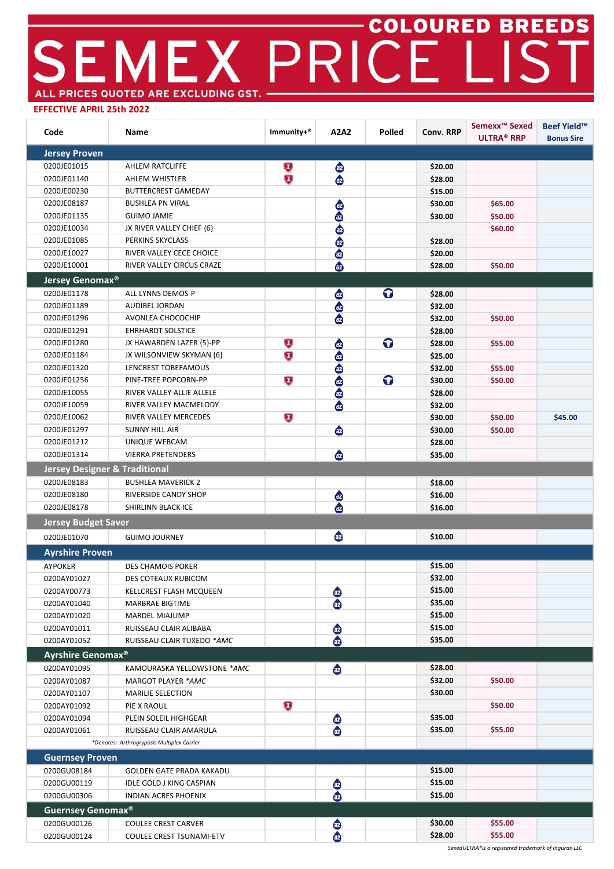## SEMEX PRICE LIST ALL PRICES QUOTED ARE EXCLUDING GST. -

## **EFFECTIVE APRIL 25th 2022**

| Code                                     | Name                                       | Immunity+®                 | A2A2                             | Polled | <b>Conv. RRP</b> | Semexx <sup>™</sup> Sexed<br><b>ULTRA® RRP</b> | <b>Beef Yield™</b><br><b>Bonus Sire</b> |
|------------------------------------------|--------------------------------------------|----------------------------|----------------------------------|--------|------------------|------------------------------------------------|-----------------------------------------|
| <b>Jersey Proven</b>                     |                                            |                            |                                  |        |                  |                                                |                                         |
| 0200JE01015                              | AHLEM RATCLIFFE                            | $\left(\mathbf{I}\right)$  | $\bigcirc$                       |        | \$20.00          |                                                |                                         |
| 0200JE01140                              | AHLEM WHISTLER                             | $\mathbf U$                | $\bullet$                        |        | \$28.00          |                                                |                                         |
| 0200JE00230                              | <b>BUTTERCREST GAMEDAY</b>                 |                            |                                  |        | \$15.00          |                                                |                                         |
| 0200JE08187                              | <b>BUSHLEA PN VIRAL</b>                    |                            | ❹                                |        | \$30.00          | \$65.00                                        |                                         |
| 0200JE01135                              | <b>GUIMO JAMIE</b>                         |                            | ⊕                                |        | \$30.00          | \$50.00                                        |                                         |
| 0200JE10034                              | JX RIVER VALLEY CHIEF {6}                  |                            |                                  |        |                  | \$60.00                                        |                                         |
| 0200JE01085                              | PERKINS SKYCLASS                           |                            | $\bigoplus$                      |        | \$28.00          |                                                |                                         |
| 0200JE10027                              | RIVER VALLEY CECE CHOICE                   |                            |                                  |        | \$20.00          |                                                |                                         |
| 0200JE10001                              | RIVER VALLEY CIRCUS CRAZE                  |                            | $\bullet$                        |        | \$28.00          | \$50.00                                        |                                         |
| <b>Jersey Genomax<sup>®</sup></b>        |                                            |                            |                                  |        |                  |                                                |                                         |
| 0200JE01178                              | ALL LYNNS DEMOS-P                          |                            |                                  | O      | \$28.00          |                                                |                                         |
| 0200JE01189                              | AUDIBEL JORDAN                             |                            | 888                              |        | \$32.00          |                                                |                                         |
| 0200JE01296                              | AVONLEA CHOCOCHIP                          |                            |                                  |        | \$32.00          | \$50.00                                        |                                         |
| 0200JE01291                              | <b>EHRHARDT SOLSTICE</b>                   |                            |                                  |        | \$28.00          |                                                |                                         |
| 0200JE01280                              | JX HAWARDEN LAZER {5}-PP                   | $\overline{\mathbf{U}}$    | ⊕                                | O      | \$28.00          | \$55.00                                        |                                         |
| 0200JE01184                              | JX WILSONVIEW SKYMAN {6}                   | $\overline{\textbf{U}}$    |                                  |        | \$25.00          |                                                |                                         |
| 0200JE01320                              | LENCREST TOBEFAMOUS                        |                            |                                  |        | \$32.00          | \$55.00                                        |                                         |
| 0200JE01256                              | PINE-TREE POPCORN-PP                       | $\bf \overline{L}$         |                                  | O      | \$30.00          | \$50.00                                        |                                         |
| 0200JE10055                              | RIVER VALLEY ALLIE ALLELE                  |                            | e<br>e                           |        | \$28.00          |                                                |                                         |
| 0200JE10059                              | RIVER VALLEY MACMELODY                     |                            |                                  |        | \$32.00          |                                                |                                         |
| 0200JE10062                              | RIVER VALLEY MERCEDES                      | $\overline{\textbf{U}}$    |                                  |        | \$30.00          | \$50.00                                        | \$45.00                                 |
| 0200JE01297                              | <b>SUNNY HILL AIR</b>                      |                            | $\bullet$                        |        | \$30.00          | \$50.00                                        |                                         |
| 0200JE01212                              | UNIQUE WEBCAM                              |                            |                                  |        | \$28.00          |                                                |                                         |
| 0200JE01314                              | <b>VIERRA PRETENDERS</b>                   |                            | ⊕                                |        | \$35.00          |                                                |                                         |
| <b>Jersey Designer &amp; Traditional</b> |                                            |                            |                                  |        |                  |                                                |                                         |
| 0200JE08183                              | <b>BUSHLEA MAVERICK 2</b>                  |                            |                                  |        | \$18.00          |                                                |                                         |
| 0200JE08180                              | RIVERSIDE CANDY SHOP                       |                            |                                  |        | \$16.00          |                                                |                                         |
| 0200JE08178                              | SHIRLINN BLACK ICE                         |                            | e<br>C                           |        | \$16.00          |                                                |                                         |
| <b>Jersey Budget Saver</b>               |                                            |                            |                                  |        |                  |                                                |                                         |
| 0200JE01070                              | <b>GUIMO JOURNEY</b>                       |                            | $\bullet$                        |        | \$10.00          |                                                |                                         |
| <b>Ayrshire Proven</b>                   |                                            |                            |                                  |        |                  |                                                |                                         |
| AYPOKER                                  | DES CHAMOIS POKER                          |                            |                                  |        | \$15.00          |                                                |                                         |
| 0200AY01027                              | DES COTEAUX RUBICOM                        |                            |                                  |        | \$32.00          |                                                |                                         |
| 0200AY00773                              | KELLCREST FLASH MCQUEEN                    |                            | $\bullet$                        |        | \$15.00          |                                                |                                         |
| 0200AY01040                              | MARBRAE BIGTIME                            |                            | $\bullet$                        |        | \$35.00          |                                                |                                         |
| 0200AY01020                              | MARDEL MIAJUMP                             |                            |                                  |        | \$15.00          |                                                |                                         |
| 0200AY01011                              | RUISSEAU CLAIR ALIBABA                     |                            | $\bullet$                        |        | \$15.00          |                                                |                                         |
| 0200AY01052                              | RUISSEAU CLAIR TUXEDO *AMC                 |                            | $\bullet$                        |        | \$35.00          |                                                |                                         |
| Ayrshire Genomax <sup>®</sup>            |                                            |                            |                                  |        |                  |                                                |                                         |
| 0200AY01095                              | KAMOURASKA YELLOWSTONE *AMC                |                            | $\bullet$                        |        | \$28.00          |                                                |                                         |
| 0200AY01087                              | MARGOT PLAYER *AMC                         |                            |                                  |        | \$32.00          | \$50.00                                        |                                         |
| 0200AY01107                              | <b>MARILIE SELECTION</b>                   |                            |                                  |        | \$30.00          |                                                |                                         |
| 0200AY01092                              | PIE X RAOUL                                | $\left( \mathbf{I}\right)$ |                                  |        |                  | \$50.00                                        |                                         |
| 0200AY01094                              | PLEIN SOLEIL HIGHGEAR                      |                            | $\bullet$                        |        | \$35.00          |                                                |                                         |
| 0200AY01061                              | RUISSEAU CLAIR AMARULA                     |                            | ⊕                                |        | \$35.00          | \$55.00                                        |                                         |
|                                          | *Denotes: Arthrogryposis Multiplex Carrier |                            |                                  |        |                  |                                                |                                         |
| <b>Guernsey Proven</b>                   |                                            |                            |                                  |        |                  |                                                |                                         |
| 0200GU08184                              | <b>GOLDEN GATE PRADA KAKADU</b>            |                            |                                  |        | \$15.00          |                                                |                                         |
| 0200GU00119                              | IDLE GOLD J KING CASPIAN                   |                            |                                  |        | \$15.00          |                                                |                                         |
| 0200GU00306                              | INDIAN ACRES PHOENIX                       |                            | az<br>dz                         |        | \$15.00          |                                                |                                         |
| Guernsey Genomax <sup>®</sup>            |                                            |                            |                                  |        |                  |                                                |                                         |
| 0200GU00126                              | <b>COULEE CREST CARVER</b>                 |                            |                                  |        | \$30.00          | \$55.00                                        |                                         |
| 0200GU00124                              | COULEE CREST TSUNAMI-ETV                   |                            | $\bullet$<br>$\ddot{\mathbf{a}}$ |        | \$28.00          | \$55.00                                        |                                         |
|                                          |                                            |                            |                                  |        |                  |                                                |                                         |